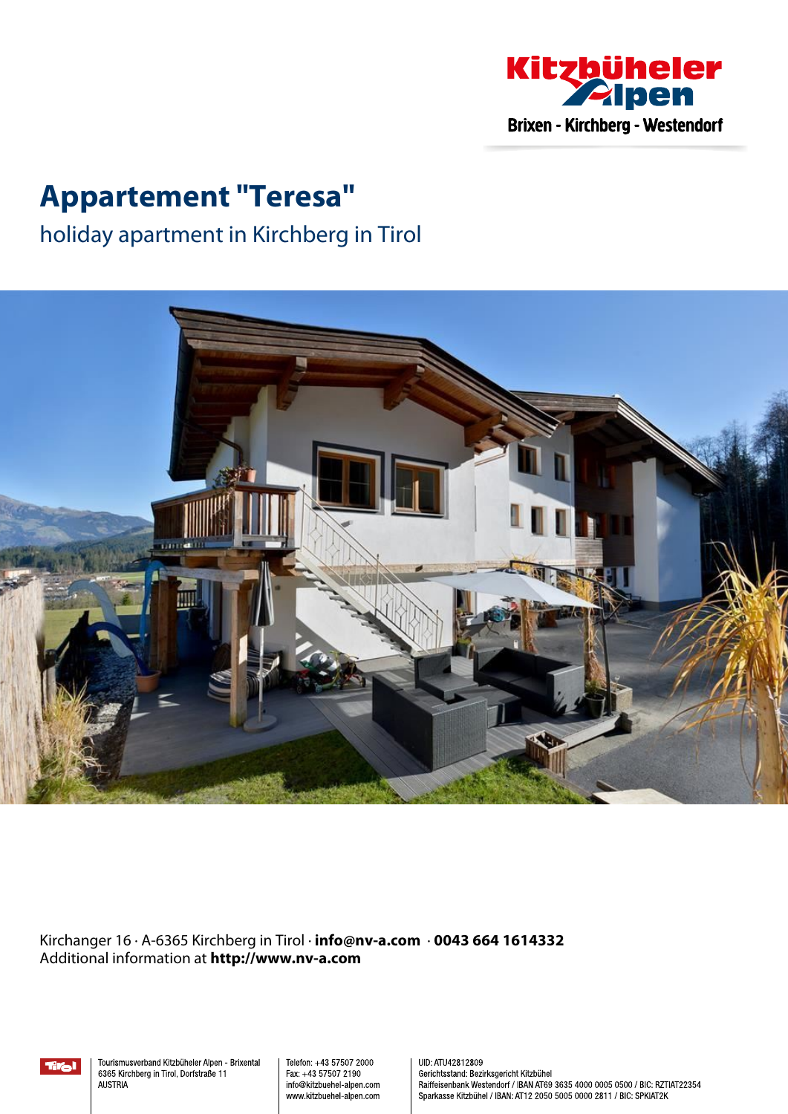

# **Appartement "Teresa"**

## holiday apartment in Kirchberg in Tirol



Kirchanger 16 · A-6365 Kirchberg in Tirol · **info@nv-a.com** · **0043 664 1614332** Additional information at **http://www.nv-a.com**



Tourismusverband Kitzbüheler Alpen - Brixental 6365 Kirchberg in Tirol, Dorfstraße 11 **AUSTRIA** 

Telefon: +43 57507 2000 Fax: +43 57507 2190 info@kitzbuehel-alpen.com www.kitzbuehel-alpen.com UID: ATU42812809 Gerichtsstand: Bezirksgericht Kitzbühel Raiffeisenbank Westendorf / IBAN AT69 3635 4000 0005 0500 / BIC: RZTIAT22354 Sparkasse Kitzbühel / IBAN: AT12 2050 5005 0000 2811 / BIC: SPKIAT2K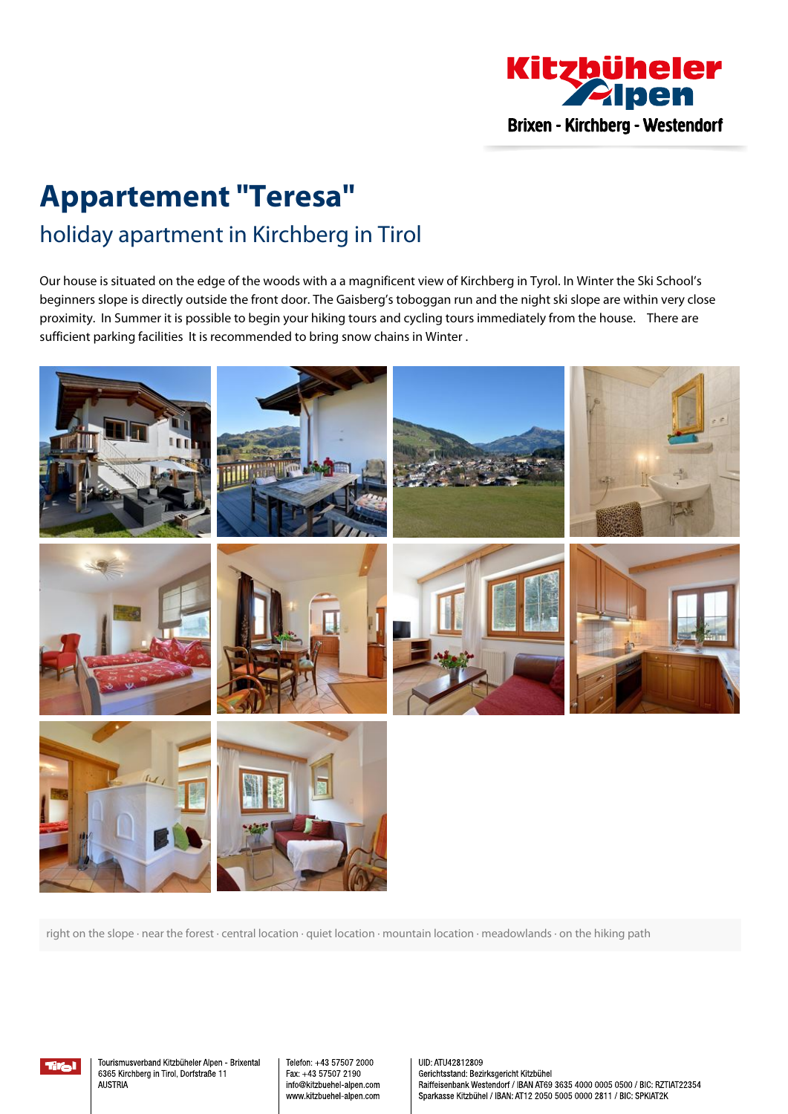

# **Appartement "Teresa"** holiday apartment in Kirchberg in Tirol

Our house is situated on the edge of the woods with <sup>a</sup> <sup>a</sup> magnificent view of Kirchberg in Tyrol. In Winter the Ski School's beginners slope is directly outside the front door. The Gaisberg's toboggan run and the night ski slope are within very close proximity. In Summer it is possible to begin your hiking tours and cycling tours immediately from the house. There are sufficient parking facilities It is recommended to bring snow chains in Winter.



right on the slope · near the forest · central location · quiet location · mountain location · meadowlands · on the hiking path

tira l

Tourismusverband Kitzbüheler Alpen - Brixental 6365 Kirchberg in Tirol, Dorfstraße 11 **ALISTRIA** 

Telefon: +43 57507 2000 Fax: +43 57507 2190 info@kitzbuehel-alpen.com www.kitzbuehel-alpen.com UID: ATU42812809 Gerichtsstand: Bezirksgericht Kitzbühel Raiffeisenbank Westendorf / IBAN AT69 3635 4000 0005 0500 / BIC: RZTIAT22354 Sparkasse Kitzbühel / IBAN: AT12 2050 5005 0000 2811 / BIC: SPKIAT2K